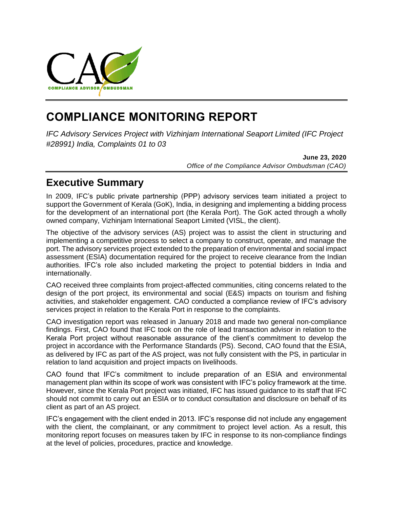

# **COMPLIANCE MONITORING REPORT**

*IFC Advisory Services Project with Vizhinjam International Seaport Limited (IFC Project #28991) India, Complaints 01 to 03*

> **June 23, 2020** *Office of the Compliance Advisor Ombudsman (CAO)*

# **Executive Summary**

In 2009, IFC's public private partnership (PPP) advisory services team initiated a project to support the Government of Kerala (GoK), India, in designing and implementing a bidding process for the development of an international port (the Kerala Port). The GoK acted through a wholly owned company, Vizhinjam International Seaport Limited (VISL, the client).

The objective of the advisory services (AS) project was to assist the client in structuring and implementing a competitive process to select a company to construct, operate, and manage the port. The advisory services project extended to the preparation of environmental and social impact assessment (ESIA) documentation required for the project to receive clearance from the Indian authorities. IFC's role also included marketing the project to potential bidders in India and internationally.

CAO received three complaints from project-affected communities, citing concerns related to the design of the port project, its environmental and social (E&S) impacts on tourism and fishing activities, and stakeholder engagement. CAO conducted a compliance review of IFC's advisory services project in relation to the Kerala Port in response to the complaints.

CAO investigation report was released in January 2018 and made two general non-compliance findings. First, CAO found that IFC took on the role of lead transaction advisor in relation to the Kerala Port project without reasonable assurance of the client's commitment to develop the project in accordance with the Performance Standards (PS). Second, CAO found that the ESIA, as delivered by IFC as part of the AS project, was not fully consistent with the PS, in particular in relation to land acquisition and project impacts on livelihoods.

CAO found that IFC's commitment to include preparation of an ESIA and environmental management plan within its scope of work was consistent with IFC's policy framework at the time. However, since the Kerala Port project was initiated, IFC has issued guidance to its staff that IFC should not commit to carry out an ESIA or to conduct consultation and disclosure on behalf of its client as part of an AS project.

IFC's engagement with the client ended in 2013. IFC's response did not include any engagement with the client, the complainant, or any commitment to project level action. As a result, this monitoring report focuses on measures taken by IFC in response to its non-compliance findings at the level of policies, procedures, practice and knowledge.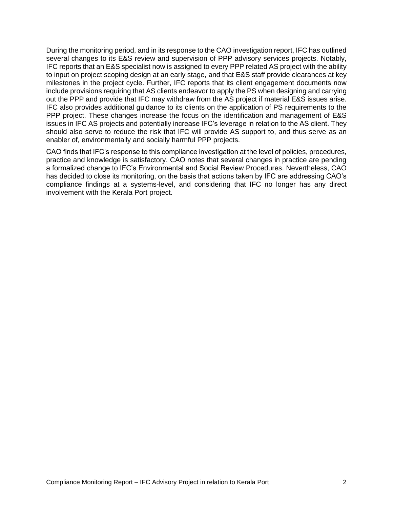During the monitoring period, and in its response to the CAO investigation report, IFC has outlined several changes to its E&S review and supervision of PPP advisory services projects. Notably, IFC reports that an E&S specialist now is assigned to every PPP related AS project with the ability to input on project scoping design at an early stage, and that E&S staff provide clearances at key milestones in the project cycle. Further, IFC reports that its client engagement documents now include provisions requiring that AS clients endeavor to apply the PS when designing and carrying out the PPP and provide that IFC may withdraw from the AS project if material E&S issues arise. IFC also provides additional guidance to its clients on the application of PS requirements to the PPP project. These changes increase the focus on the identification and management of E&S issues in IFC AS projects and potentially increase IFC's leverage in relation to the AS client. They should also serve to reduce the risk that IFC will provide AS support to, and thus serve as an enabler of, environmentally and socially harmful PPP projects.

CAO finds that IFC's response to this compliance investigation at the level of policies, procedures, practice and knowledge is satisfactory. CAO notes that several changes in practice are pending a formalized change to IFC's Environmental and Social Review Procedures. Nevertheless, CAO has decided to close its monitoring, on the basis that actions taken by IFC are addressing CAO's compliance findings at a systems-level, and considering that IFC no longer has any direct involvement with the Kerala Port project.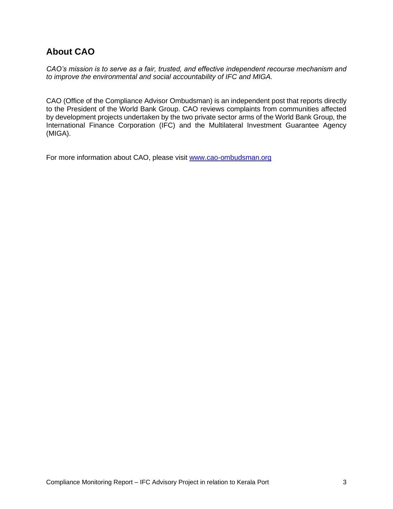# **About CAO**

*CAO's mission is to serve as a fair, trusted, and effective independent recourse mechanism and to improve the environmental and social accountability of IFC and MIGA.*

CAO (Office of the Compliance Advisor Ombudsman) is an independent post that reports directly to the President of the World Bank Group. CAO reviews complaints from communities affected by development projects undertaken by the two private sector arms of the World Bank Group, the International Finance Corporation (IFC) and the Multilateral Investment Guarantee Agency (MIGA).

For more information about CAO, please visit [www.cao-ombudsman.org](http://www.cao-ombudsman.org/)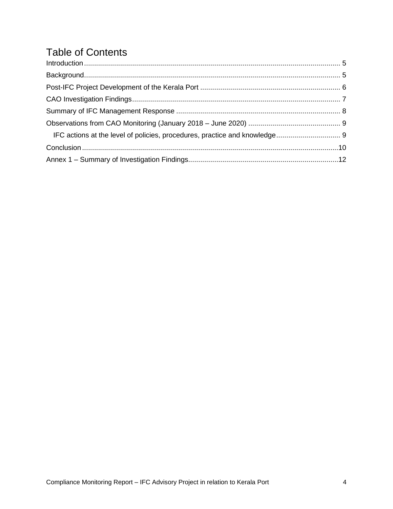# Table of Contents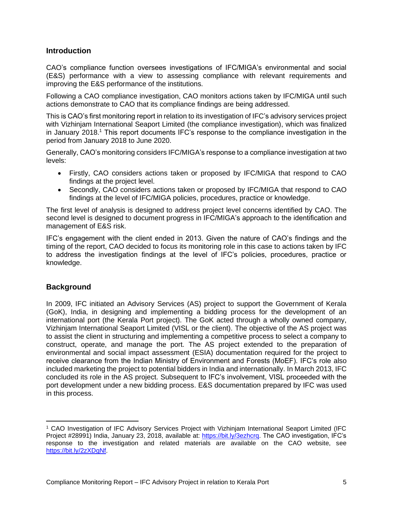# <span id="page-4-0"></span>**Introduction**

CAO's compliance function oversees investigations of IFC/MIGA's environmental and social (E&S) performance with a view to assessing compliance with relevant requirements and improving the E&S performance of the institutions.

Following a CAO compliance investigation, CAO monitors actions taken by IFC/MIGA until such actions demonstrate to CAO that its compliance findings are being addressed.

This is CAO's first monitoring report in relation to its investigation of IFC's advisory services project with Vizhinjam International Seaport Limited (the compliance investigation), which was finalized in January 2018.<sup>1</sup> This report documents IFC's response to the compliance investigation in the period from January 2018 to June 2020.

Generally, CAO's monitoring considers IFC/MIGA's response to a compliance investigation at two levels:

- Firstly, CAO considers actions taken or proposed by IFC/MIGA that respond to CAO findings at the project level.
- Secondly, CAO considers actions taken or proposed by IFC/MIGA that respond to CAO findings at the level of IFC/MIGA policies, procedures, practice or knowledge.

The first level of analysis is designed to address project level concerns identified by CAO. The second level is designed to document progress in IFC/MIGA's approach to the identification and management of E&S risk.

IFC's engagement with the client ended in 2013. Given the nature of CAO's findings and the timing of the report, CAO decided to focus its monitoring role in this case to actions taken by IFC to address the investigation findings at the level of IFC's policies, procedures, practice or knowledge.

# <span id="page-4-1"></span>**Background**

In 2009, IFC initiated an Advisory Services (AS) project to support the Government of Kerala (GoK), India, in designing and implementing a bidding process for the development of an international port (the Kerala Port project). The GoK acted through a wholly owned company, Vizhinjam International Seaport Limited (VISL or the client). The objective of the AS project was to assist the client in structuring and implementing a competitive process to select a company to construct, operate, and manage the port. The AS project extended to the preparation of environmental and social impact assessment (ESIA) documentation required for the project to receive clearance from the Indian Ministry of Environment and Forests (MoEF). IFC's role also included marketing the project to potential bidders in India and internationally. In March 2013, IFC concluded its role in the AS project. Subsequent to IFC's involvement, VISL proceeded with the port development under a new bidding process. E&S documentation prepared by IFC was used in this process.

<sup>1</sup> CAO Investigation of IFC Advisory Services Project with Vizhinjam International Seaport Limited (IFC Project #28991) India, January 23, 2018, available at: [https://bit.ly/3ezhcrq.](https://bit.ly/3ezhcrq) The CAO investigation, IFC's response to the investigation and related materials are available on the CAO website, see [https://bit.ly/2zXDgNf.](https://bit.ly/2zXDgNf)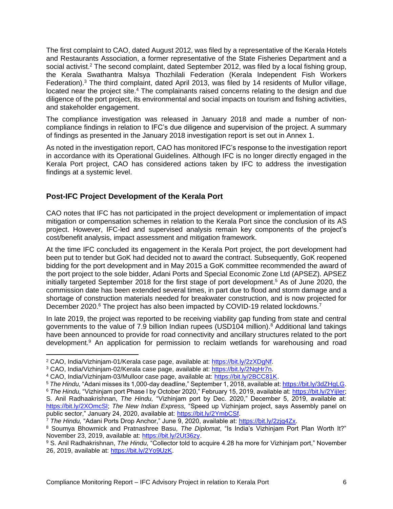The first complaint to CAO, dated August 2012, was filed by a representative of the Kerala Hotels and Restaurants Association, a former representative of the State Fisheries Department and a social activist.<sup>2</sup> The second complaint, dated September 2012, was filed by a local fishing group, the Kerala Swathantra Malsya Thozhilali Federation (Kerala Independent Fish Workers Federation).<sup>3</sup> The third complaint, dated April 2013, was filed by 14 residents of Mullor village, located near the project site.<sup>4</sup> The complainants raised concerns relating to the design and due diligence of the port project, its environmental and social impacts on tourism and fishing activities, and stakeholder engagement.

The compliance investigation was released in January 2018 and made a number of noncompliance findings in relation to IFC's due diligence and supervision of the project. A summary of findings as presented in the January 2018 investigation report is set out in Annex 1.

As noted in the investigation report, CAO has monitored IFC's response to the investigation report in accordance with its Operational Guidelines. Although IFC is no longer directly engaged in the Kerala Port project, CAO has considered actions taken by IFC to address the investigation findings at a systemic level.

# <span id="page-5-0"></span>**Post-IFC Project Development of the Kerala Port**

CAO notes that IFC has not participated in the project development or implementation of impact mitigation or compensation schemes in relation to the Kerala Port since the conclusion of its AS project. However, IFC-led and supervised analysis remain key components of the project's cost/benefit analysis, impact assessment and mitigation framework.

At the time IFC concluded its engagement in the Kerala Port project, the port development had been put to tender but GoK had decided not to award the contract. Subsequently, GoK reopened bidding for the port development and in May 2015 a GoK committee recommended the award of the port project to the sole bidder, Adani Ports and Special Economic Zone Ltd (APSEZ). APSEZ initially targeted September 2018 for the first stage of port development.<sup>5</sup> As of June 2020, the commission date has been extended several times, in part due to flood and storm damage and a shortage of construction materials needed for breakwater construction, and is now projected for December 2020.<sup>6</sup> The project has also been impacted by COVID-19 related lockdowns.<sup>7</sup>

In late 2019, the project was reported to be receiving viability gap funding from state and central governments to the value of 7.9 billion Indian rupees (USD104 million).<sup>8</sup> Additional land takings have been announced to provide for road connectivity and ancillary structures related to the port development.<sup>9</sup> An application for permission to reclaim wetlands for warehousing and road

<sup>2</sup> CAO, India/Vizhinjam-01/Kerala case page, available at: [https://bit.ly/2zXDgNf.](https://bit.ly/2zXDgNf)

<sup>3</sup> CAO, India/Vizhinjam-02/Kerala case page, available at: [https://bit.ly/2NqHr7n.](https://bit.ly/2NqHr7n)

<sup>4</sup> CAO, India/Vizhinjam-03/Mulloor case page, available at: [https://bit.ly/2BCC81K.](https://bit.ly/2BCC81K)

<sup>5</sup> *The Hindu,* "Adani misses its 1,000-day deadline," September 1, 2018, available at[: https://bit.ly/3dZHgLG.](https://bit.ly/3dZHgLG)

<sup>6</sup> *The Hindu,* "Vizhinjam port Phase I by October 2020," February 15, 2019, available at: [https://bit.ly/2YijIer;](https://bit.ly/2YijIer) S. Anil Radhaakrishnan, *The Hindu,* "Vizhinjam port by Dec. 2020," December 5, 2019, available at: [https://bit.ly/2XOmcSI;](https://bit.ly/2XOmcSI) *The New Indian Express,* "Speed up Vizhinjam project, says Assembly panel on public sector," January 24, 2020, available at: [https://bit.ly/2YmbCSf.](https://bit.ly/2YmbCSf)

<sup>7</sup> *The Hindu,* "Adani Ports Drop Anchor," June 9, 2020, available at: [https://bit.ly/2zjg4Zx.](https://bit.ly/2zjg4Zx)

<sup>8</sup> Soumya Bhowmick and Pratnashree Basu, *The Diplomat*, "Is India's Vizhinjam Port Plan Worth It?" November 23, 2019, available at: [https://bit.ly/2Ut36zy.](https://bit.ly/2Ut36zy)

<sup>9</sup> S. Anil Radhakrishnan, *The Hindu,* "Collector told to acquire 4.28 ha more for Vizhinjam port," November 26, 2019, available at: [https://bit.ly/2Yo9UzK.](https://bit.ly/2Yo9UzK)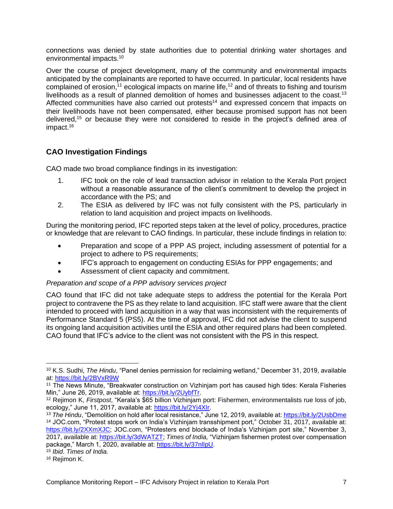connections was denied by state authorities due to potential drinking water shortages and environmental impacts.<sup>10</sup>

Over the course of project development, many of the community and environmental impacts anticipated by the complainants are reported to have occurred. In particular, local residents have complained of erosion,<sup>11</sup> ecological impacts on marine life,<sup>12</sup> and of threats to fishing and tourism livelihoods as a result of planned demolition of homes and businesses adjacent to the coast.<sup>13</sup> Affected communities have also carried out protests<sup>14</sup> and expressed concern that impacts on their livelihoods have not been compensated, either because promised support has not been delivered,<sup>15</sup> or because they were not considered to reside in the project's defined area of impact.<sup>16</sup>

# <span id="page-6-0"></span>**CAO Investigation Findings**

CAO made two broad compliance findings in its investigation:

- 1. IFC took on the role of lead transaction advisor in relation to the Kerala Port project without a reasonable assurance of the client's commitment to develop the project in accordance with the PS; and
- 2. The ESIA as delivered by IFC was not fully consistent with the PS, particularly in relation to land acquisition and project impacts on livelihoods.

During the monitoring period, IFC reported steps taken at the level of policy, procedures, practice or knowledge that are relevant to CAO findings. In particular, these include findings in relation to:

- Preparation and scope of a PPP AS project, including assessment of potential for a project to adhere to PS requirements;
- IFC's approach to engagement on conducting ESIAs for PPP engagements; and
- Assessment of client capacity and commitment.

# *Preparation and scope of a PPP advisory services project*

CAO found that IFC did not take adequate steps to address the potential for the Kerala Port project to contravene the PS as they relate to land acquisition. IFC staff were aware that the client intended to proceed with land acquisition in a way that was inconsistent with the requirements of Performance Standard 5 (PS5). At the time of approval, IFC did not advise the client to suspend its ongoing land acquisition activities until the ESIA and other required plans had been completed. CAO found that IFC's advice to the client was not consistent with the PS in this respect.

<sup>10</sup> K.S. Sudhi, *The Hindu*, "Panel denies permission for reclaiming wetland," December 31, 2019, available at:<https://bit.ly/2BVxR9W>

<sup>11</sup> The News Minute, "Breakwater construction on Vizhinjam port has caused high tides: Kerala Fisheries Min," June 26, 2019, available at: [https://bit.ly/2UybfTr.](https://bit.ly/2UybfTr)

<sup>12</sup> Rejimon K, *Firstpost*, "Kerala's \$65 billion Vizhinjam port: Fishermen, environmentalists rue loss of job, ecology," June 11, 2017, available at: [https://bit.ly/2Yj4XIr.](https://bit.ly/2Yj4XIr)

<sup>13</sup> *The Hindu*, "Demolition on hold after local resistance," June 12, 2019, available at: <https://bit.ly/2UsbDme> <sup>14</sup> JOC.com, "Protest stops work on India's Vizhinjam transshipment port," October 31, 2017, available at: [https://bit.ly/2XXmXJC;](https://bit.ly/2XXmXJC) JOC.com, "Protesters end blockade of India's Vizhinjam port site," November 3, 2017, available at: [https://bit.ly/3dWATZT;](https://bit.ly/3dWATZT) *Times of India,* "Vizhinjam fishermen protest over compensation package," March 1, 2020, available at: https://bit.ly/37nllpU. <sup>15</sup> *Ibid*. *Times of India.*

<sup>16</sup> Rejimon K.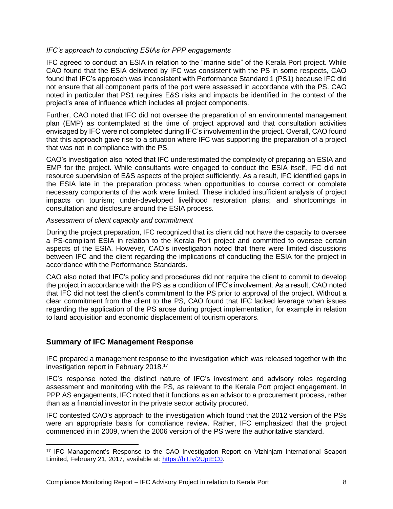## *IFC's approach to conducting ESIAs for PPP engagements*

IFC agreed to conduct an ESIA in relation to the "marine side" of the Kerala Port project. While CAO found that the ESIA delivered by IFC was consistent with the PS in some respects, CAO found that IFC's approach was inconsistent with Performance Standard 1 (PS1) because IFC did not ensure that all component parts of the port were assessed in accordance with the PS. CAO noted in particular that PS1 requires E&S risks and impacts be identified in the context of the project's area of influence which includes all project components.

Further, CAO noted that IFC did not oversee the preparation of an environmental management plan (EMP) as contemplated at the time of project approval and that consultation activities envisaged by IFC were not completed during IFC's involvement in the project. Overall, CAO found that this approach gave rise to a situation where IFC was supporting the preparation of a project that was not in compliance with the PS.

CAO's investigation also noted that IFC underestimated the complexity of preparing an ESIA and EMP for the project. While consultants were engaged to conduct the ESIA itself, IFC did not resource supervision of E&S aspects of the project sufficiently. As a result, IFC identified gaps in the ESIA late in the preparation process when opportunities to course correct or complete necessary components of the work were limited. These included insufficient analysis of project impacts on tourism; under-developed livelihood restoration plans; and shortcomings in consultation and disclosure around the ESIA process.

### *Assessment of client capacity and commitment*

During the project preparation, IFC recognized that its client did not have the capacity to oversee a PS-compliant ESIA in relation to the Kerala Port project and committed to oversee certain aspects of the ESIA. However, CAO's investigation noted that there were limited discussions between IFC and the client regarding the implications of conducting the ESIA for the project in accordance with the Performance Standards.

CAO also noted that IFC's policy and procedures did not require the client to commit to develop the project in accordance with the PS as a condition of IFC's involvement. As a result, CAO noted that IFC did not test the client's commitment to the PS prior to approval of the project. Without a clear commitment from the client to the PS, CAO found that IFC lacked leverage when issues regarding the application of the PS arose during project implementation, for example in relation to land acquisition and economic displacement of tourism operators.

# <span id="page-7-0"></span>**Summary of IFC Management Response**

IFC prepared a management response to the investigation which was released together with the investigation report in February 2018. 17

IFC's response noted the distinct nature of IFC's investment and advisory roles regarding assessment and monitoring with the PS, as relevant to the Kerala Port project engagement. In PPP AS engagements, IFC noted that it functions as an advisor to a procurement process, rather than as a financial investor in the private sector activity procured.

IFC contested CAO's approach to the investigation which found that the 2012 version of the PSs were an appropriate basis for compliance review. Rather, IFC emphasized that the project commenced in in 2009, when the 2006 version of the PS were the authoritative standard.

<sup>17</sup> IFC Management's Response to the CAO Investigation Report on Vizhinjam International Seaport Limited, February 21, 2017, available at: [https://bit.ly/2UptEC0.](https://bit.ly/2UptEC0)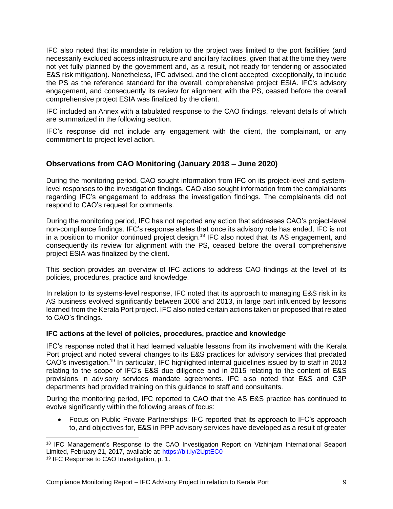IFC also noted that its mandate in relation to the project was limited to the port facilities (and necessarily excluded access infrastructure and ancillary facilities, given that at the time they were not yet fully planned by the government and, as a result, not ready for tendering or associated E&S risk mitigation). Nonetheless, IFC advised, and the client accepted, exceptionally, to include the PS as the reference standard for the overall, comprehensive project ESIA. IFC's advisory engagement, and consequently its review for alignment with the PS, ceased before the overall comprehensive project ESIA was finalized by the client.

IFC included an Annex with a tabulated response to the CAO findings, relevant details of which are summarized in the following section.

IFC's response did not include any engagement with the client, the complainant, or any commitment to project level action.

# <span id="page-8-0"></span>**Observations from CAO Monitoring (January 2018 – June 2020)**

During the monitoring period, CAO sought information from IFC on its project-level and systemlevel responses to the investigation findings. CAO also sought information from the complainants regarding IFC's engagement to address the investigation findings. The complainants did not respond to CAO's request for comments.

During the monitoring period, IFC has not reported any action that addresses CAO's project-level non-compliance findings. IFC's response states that once its advisory role has ended, IFC is not in a position to monitor continued project design.<sup>18</sup> IFC also noted that its AS engagement, and consequently its review for alignment with the PS, ceased before the overall comprehensive project ESIA was finalized by the client.

This section provides an overview of IFC actions to address CAO findings at the level of its policies, procedures, practice and knowledge.

In relation to its systems-level response, IFC noted that its approach to managing E&S risk in its AS business evolved significantly between 2006 and 2013, in large part influenced by lessons learned from the Kerala Port project. IFC also noted certain actions taken or proposed that related to CAO's findings.

# <span id="page-8-1"></span>**IFC actions at the level of policies, procedures, practice and knowledge**

IFC's response noted that it had learned valuable lessons from its involvement with the Kerala Port project and noted several changes to its E&S practices for advisory services that predated CAO's investigation.<sup>19</sup> In particular, IFC highlighted internal guidelines issued by to staff in 2013 relating to the scope of IFC's E&S due diligence and in 2015 relating to the content of E&S provisions in advisory services mandate agreements. IFC also noted that E&S and C3P departments had provided training on this guidance to staff and consultants.

During the monitoring period, IFC reported to CAO that the AS E&S practice has continued to evolve significantly within the following areas of focus:

• Focus on Public Private Partnerships: IFC reported that its approach to IFC's approach to, and objectives for, E&S in PPP advisory services have developed as a result of greater

<sup>&</sup>lt;sup>18</sup> IFC Management's Response to the CAO Investigation Report on Vizhinjam International Seaport Limited, February 21, 2017, available at:<https://bit.ly/2UptEC0>

<sup>19</sup> IFC Response to CAO Investigation, p. 1.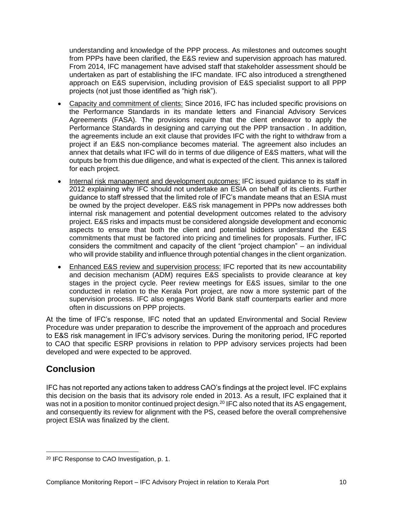understanding and knowledge of the PPP process. As milestones and outcomes sought from PPPs have been clarified, the E&S review and supervision approach has matured. From 2014, IFC management have advised staff that stakeholder assessment should be undertaken as part of establishing the IFC mandate. IFC also introduced a strengthened approach on E&S supervision, including provision of E&S specialist support to all PPP projects (not just those identified as "high risk").

- Capacity and commitment of clients: Since 2016, IFC has included specific provisions on the Performance Standards in its mandate letters and Financial Advisory Services Agreements (FASA). The provisions require that the client endeavor to apply the Performance Standards in designing and carrying out the PPP transaction . In addition, the agreements include an exit clause that provides IFC with the right to withdraw from a project if an E&S non-compliance becomes material. The agreement also includes an annex that details what IFC will do in terms of due diligence of E&S matters, what will the outputs be from this due diligence, and what is expected of the client. This annex is tailored for each project.
- Internal risk management and development outcomes: IFC issued guidance to its staff in 2012 explaining why IFC should not undertake an ESIA on behalf of its clients. Further guidance to staff stressed that the limited role of IFC's mandate means that an ESIA must be owned by the project developer. E&S risk management in PPPs now addresses both internal risk management and potential development outcomes related to the advisory project. E&S risks and impacts must be considered alongside development and economic aspects to ensure that both the client and potential bidders understand the E&S commitments that must be factored into pricing and timelines for proposals. Further, IFC considers the commitment and capacity of the client "project champion" – an individual who will provide stability and influence through potential changes in the client organization.
- Enhanced E&S review and supervision process: IFC reported that its new accountability and decision mechanism (ADM) requires E&S specialists to provide clearance at key stages in the project cycle. Peer review meetings for E&S issues, similar to the one conducted in relation to the Kerala Port project, are now a more systemic part of the supervision process. IFC also engages World Bank staff counterparts earlier and more often in discussions on PPP projects.

At the time of IFC's response, IFC noted that an updated Environmental and Social Review Procedure was under preparation to describe the improvement of the approach and procedures to E&S risk management in IFC's advisory services. During the monitoring period, IFC reported to CAO that specific ESRP provisions in relation to PPP advisory services projects had been developed and were expected to be approved.

# <span id="page-9-0"></span>**Conclusion**

IFC has not reported any actions taken to address CAO's findings at the project level. IFC explains this decision on the basis that its advisory role ended in 2013. As a result, IFC explained that it was not in a position to monitor continued project design.<sup>20</sup> IFC also noted that its AS engagement, and consequently its review for alignment with the PS, ceased before the overall comprehensive project ESIA was finalized by the client.

<sup>20</sup> IFC Response to CAO Investigation, p. 1.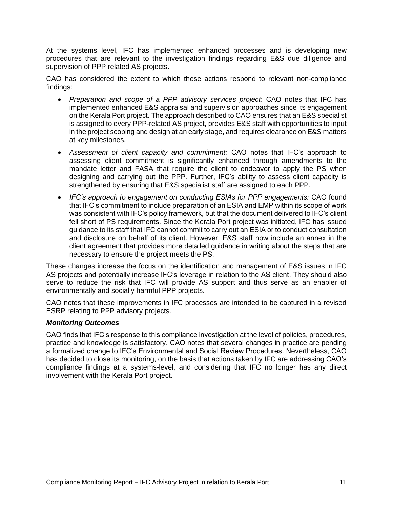At the systems level, IFC has implemented enhanced processes and is developing new procedures that are relevant to the investigation findings regarding E&S due diligence and supervision of PPP related AS projects.

CAO has considered the extent to which these actions respond to relevant non-compliance findings:

- *Preparation and scope of a PPP advisory services project*: CAO notes that IFC has implemented enhanced E&S appraisal and supervision approaches since its engagement on the Kerala Port project. The approach described to CAO ensures that an E&S specialist is assigned to every PPP-related AS project, provides E&S staff with opportunities to input in the project scoping and design at an early stage, and requires clearance on E&S matters at key milestones.
- *Assessment of client capacity and commitment:* CAO notes that IFC's approach to assessing client commitment is significantly enhanced through amendments to the mandate letter and FASA that require the client to endeavor to apply the PS when designing and carrying out the PPP*.* Further, IFC's ability to assess client capacity is strengthened by ensuring that E&S specialist staff are assigned to each PPP.
- *IFC's approach to engagement on conducting ESIAs for PPP engagements:* CAO found that IFC's commitment to include preparation of an ESIA and EMP within its scope of work was consistent with IFC's policy framework, but that the document delivered to IFC's client fell short of PS requirements. Since the Kerala Port project was initiated, IFC has issued guidance to its staff that IFC cannot commit to carry out an ESIA or to conduct consultation and disclosure on behalf of its client. However, E&S staff now include an annex in the client agreement that provides more detailed guidance in writing about the steps that are necessary to ensure the project meets the PS.

These changes increase the focus on the identification and management of E&S issues in IFC AS projects and potentially increase IFC's leverage in relation to the AS client. They should also serve to reduce the risk that IFC will provide AS support and thus serve as an enabler of environmentally and socially harmful PPP projects.

CAO notes that these improvements in IFC processes are intended to be captured in a revised ESRP relating to PPP advisory projects.

### *Monitoring Outcomes*

CAO finds that IFC's response to this compliance investigation at the level of policies, procedures, practice and knowledge is satisfactory. CAO notes that several changes in practice are pending a formalized change to IFC's Environmental and Social Review Procedures. Nevertheless, CAO has decided to close its monitoring, on the basis that actions taken by IFC are addressing CAO's compliance findings at a systems-level, and considering that IFC no longer has any direct involvement with the Kerala Port project.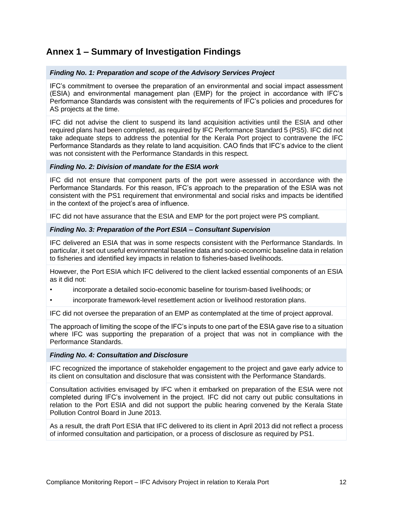# <span id="page-11-0"></span>**Annex 1 – Summary of Investigation Findings**

## *Finding No. 1: Preparation and scope of the Advisory Services Project*

IFC's commitment to oversee the preparation of an environmental and social impact assessment (ESIA) and environmental management plan (EMP) for the project in accordance with IFC's Performance Standards was consistent with the requirements of IFC's policies and procedures for AS projects at the time.

IFC did not advise the client to suspend its land acquisition activities until the ESIA and other required plans had been completed, as required by IFC Performance Standard 5 (PS5). IFC did not take adequate steps to address the potential for the Kerala Port project to contravene the IFC Performance Standards as they relate to land acquisition. CAO finds that IFC's advice to the client was not consistent with the Performance Standards in this respect.

### *Finding No. 2: Division of mandate for the ESIA work*

IFC did not ensure that component parts of the port were assessed in accordance with the Performance Standards. For this reason, IFC's approach to the preparation of the ESIA was not consistent with the PS1 requirement that environmental and social risks and impacts be identified in the context of the project's area of influence.

IFC did not have assurance that the ESIA and EMP for the port project were PS compliant.

### *Finding No. 3: Preparation of the Port ESIA – Consultant Supervision*

IFC delivered an ESIA that was in some respects consistent with the Performance Standards. In particular, it set out useful environmental baseline data and socio-economic baseline data in relation to fisheries and identified key impacts in relation to fisheries-based livelihoods.

However, the Port ESIA which IFC delivered to the client lacked essential components of an ESIA as it did not:

- incorporate a detailed socio-economic baseline for tourism-based livelihoods; or
- incorporate framework-level resettlement action or livelihood restoration plans.

IFC did not oversee the preparation of an EMP as contemplated at the time of project approval.

The approach of limiting the scope of the IFC's inputs to one part of the ESIA gave rise to a situation where IFC was supporting the preparation of a project that was not in compliance with the Performance Standards.

### *Finding No. 4: Consultation and Disclosure*

IFC recognized the importance of stakeholder engagement to the project and gave early advice to its client on consultation and disclosure that was consistent with the Performance Standards.

Consultation activities envisaged by IFC when it embarked on preparation of the ESIA were not completed during IFC's involvement in the project. IFC did not carry out public consultations in relation to the Port ESIA and did not support the public hearing convened by the Kerala State Pollution Control Board in June 2013.

As a result, the draft Port ESIA that IFC delivered to its client in April 2013 did not reflect a process of informed consultation and participation, or a process of disclosure as required by PS1.